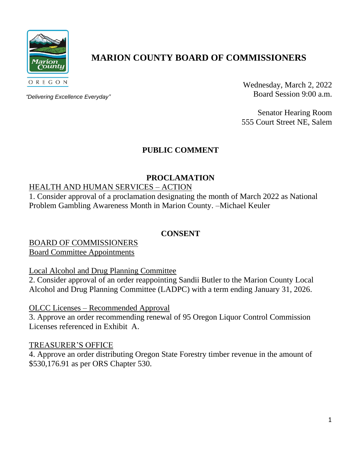

# **MARION COUNTY BOARD OF COMMISSIONERS**

*"Delivering Excellence Everyday"*

Wednesday, March 2, 2022 Board Session 9:00 a.m.

Senator Hearing Room 555 Court Street NE, Salem

## **PUBLIC COMMENT**

## **PROCLAMATION**

## HEALTH AND HUMAN SERVICES – ACTION

1. Consider approval of a proclamation designating the month of March 2022 as National Problem Gambling Awareness Month in Marion County. –Michael Keuler

## **CONSENT**

BOARD OF COMMISSIONERS Board Committee Appointments

Local Alcohol and Drug Planning Committee

2. Consider approval of an order reappointing Sandii Butler to the Marion County Local Alcohol and Drug Planning Committee (LADPC) with a term ending January 31, 2026.

OLCC Licenses – Recommended Approval

3. Approve an order recommending renewal of 95 Oregon Liquor Control Commission Licenses referenced in Exhibit A.

## TREASURER'S OFFICE

4. Approve an order distributing Oregon State Forestry timber revenue in the amount of \$530,176.91 as per ORS Chapter 530.